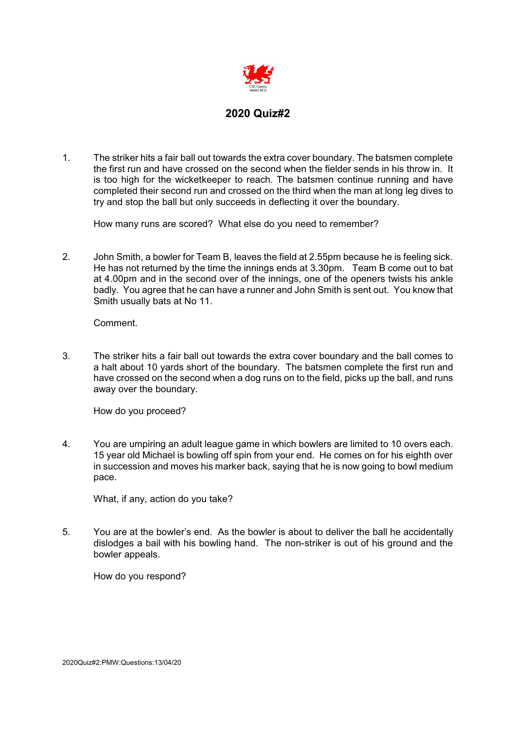

1. The striker hits a fair ball out towards the extra cover boundary. The batsmen complete the first run and have crossed on the second when the fielder sends in his throw in. It is too high for the wicketkeeper to reach. The batsmen continue running and have completed their second run and crossed on the third when the man at long leg dives to try and stop the ball but only succeeds in deflecting it over the boundary.

How many runs are scored? What else do you need to remember?

2. John Smith, a bowler for Team B, leaves the field at 2.55pm because he is feeling sick. He has not returned by the time the innings ends at 3.30pm. Team B come out to bat at 4.00pm and in the second over of the innings, one of the openers twists his ankle badly. You agree that he can have a runner and John Smith is sent out. You know that Smith usually bats at No 11.

Comment.

3. The striker hits a fair ball out towards the extra cover boundary and the ball comes to a halt about 10 yards short of the boundary. The batsmen complete the first run and have crossed on the second when a dog runs on to the field, picks up the ball, and runs away over the boundary.

How do you proceed?

4. You are umpiring an adult league game in which bowlers are limited to 10 overs each. 15 year old Michael is bowling off spin from your end. He comes on for his eighth over in succession and moves his marker back, saying that he is now going to bowl medium pace.

What, if any, action do you take?

5. You are at the bowler's end. As the bowler is about to deliver the ball he accidentally dislodges a bail with his bowling hand. The non-striker is out of his ground and the bowler appeals.

How do you respond?

2020Quiz#2:PMW:Questions:13/04/20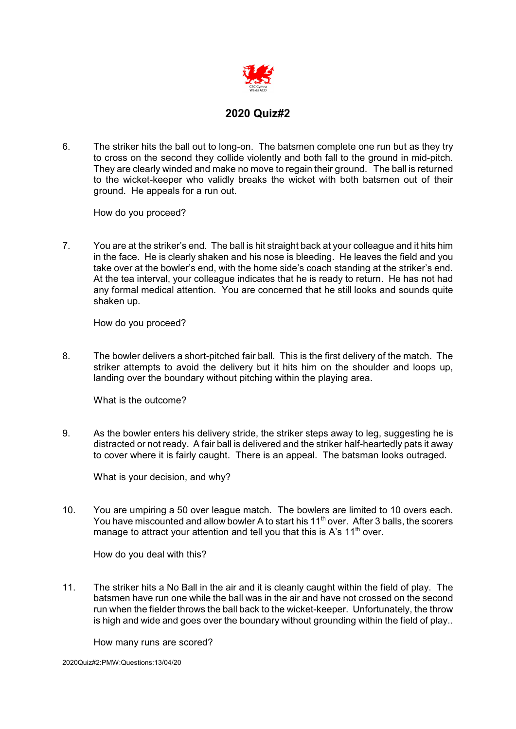

6. The striker hits the ball out to long-on. The batsmen complete one run but as they try to cross on the second they collide violently and both fall to the ground in mid-pitch. They are clearly winded and make no move to regain their ground. The ball is returned to the wicket-keeper who validly breaks the wicket with both batsmen out of their ground. He appeals for a run out.

How do you proceed?

7. You are at the striker's end. The ball is hit straight back at your colleague and it hits him in the face. He is clearly shaken and his nose is bleeding. He leaves the field and you take over at the bowler's end, with the home side's coach standing at the striker's end. At the tea interval, your colleague indicates that he is ready to return. He has not had any formal medical attention. You are concerned that he still looks and sounds quite shaken up.

How do you proceed?

8. The bowler delivers a short-pitched fair ball. This is the first delivery of the match. The striker attempts to avoid the delivery but it hits him on the shoulder and loops up, landing over the boundary without pitching within the playing area.

What is the outcome?

9. As the bowler enters his delivery stride, the striker steps away to leg, suggesting he is distracted or not ready. A fair ball is delivered and the striker half-heartedly pats it away to cover where it is fairly caught. There is an appeal. The batsman looks outraged.

What is your decision, and why?

10. You are umpiring a 50 over league match. The bowlers are limited to 10 overs each. You have miscounted and allow bowler A to start his 11<sup>th</sup> over. After 3 balls, the scorers manage to attract your attention and tell you that this is A's  $11<sup>th</sup>$  over.

How do you deal with this?

11. The striker hits a No Ball in the air and it is cleanly caught within the field of play. The batsmen have run one while the ball was in the air and have not crossed on the second run when the fielder throws the ball back to the wicket-keeper. Unfortunately, the throw is high and wide and goes over the boundary without grounding within the field of play..

How many runs are scored?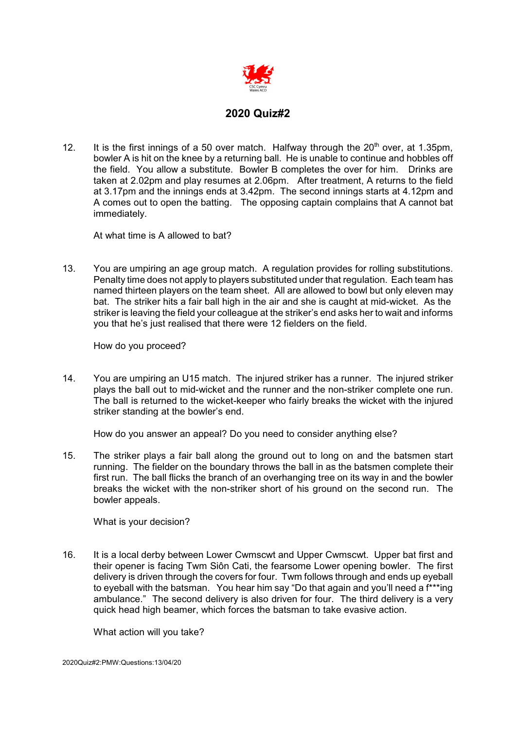

12. It is the first innings of a 50 over match. Halfway through the  $20<sup>th</sup>$  over, at 1.35pm, bowler A is hit on the knee by a returning ball. He is unable to continue and hobbles off the field. You allow a substitute. Bowler B completes the over for him. Drinks are taken at 2.02pm and play resumes at 2.06pm. After treatment, A returns to the field at 3.17pm and the innings ends at 3.42pm. The second innings starts at 4.12pm and A comes out to open the batting. The opposing captain complains that A cannot bat immediately.

At what time is A allowed to bat?

13. You are umpiring an age group match. A regulation provides for rolling substitutions. Penalty time does not apply to players substituted under that regulation. Each team has named thirteen players on the team sheet. All are allowed to bowl but only eleven may bat. The striker hits a fair ball high in the air and she is caught at mid-wicket. As the striker is leaving the field your colleague at the striker's end asks her to wait and informs you that he's just realised that there were 12 fielders on the field.

How do you proceed?

14. You are umpiring an U15 match. The injured striker has a runner. The injured striker plays the ball out to mid-wicket and the runner and the non-striker complete one run. The ball is returned to the wicket-keeper who fairly breaks the wicket with the injured striker standing at the bowler's end.

How do you answer an appeal? Do you need to consider anything else?

15. The striker plays a fair ball along the ground out to long on and the batsmen start running. The fielder on the boundary throws the ball in as the batsmen complete their first run. The ball flicks the branch of an overhanging tree on its way in and the bowler breaks the wicket with the non-striker short of his ground on the second run. The bowler appeals.

What is your decision?

16. It is a local derby between Lower Cwmscwt and Upper Cwmscwt. Upper bat first and their opener is facing Twm Siôn Cati, the fearsome Lower opening bowler. The first delivery is driven through the covers for four. Twm follows through and ends up eyeball to eyeball with the batsman. You hear him say "Do that again and you'll need a f\*\*\*ing ambulance." The second delivery is also driven for four. The third delivery is a very quick head high beamer, which forces the batsman to take evasive action.

What action will you take?